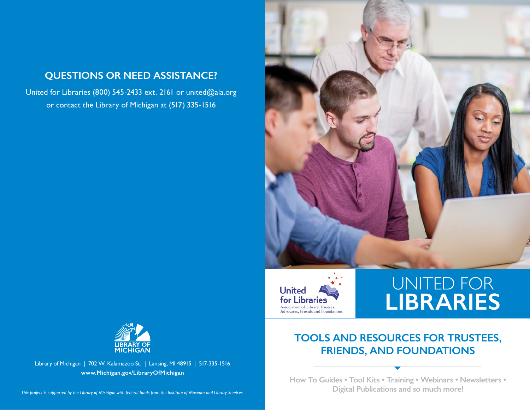

United for Libraries (800) 545-2433 ext. 2161 or [united@ala.org](mailto:united@ala.org) or contact the Library of Michigan at (517) 335-1516





## UNITED FOR **LIBRARIES**

## **TOOLS AND RESOURCES FOR TRUSTEES, FRIENDS, AND FOUNDATIONS**

**How To Guides • Tool Kits • Training • Webinars • Newsletters • Digital Publications and so much more!**



Library of Michigan | 702 W. Kalamazoo St. | Lansing, MI 48915 | 517-335-1516 **[www.Michigan.gov/LibraryOfMichigan](https://www.Michigan.gov/LibraryOfMichigan)**

*This project is supported by the Library of Michigan with federal funds from the Institute of Museum and Library Services.*